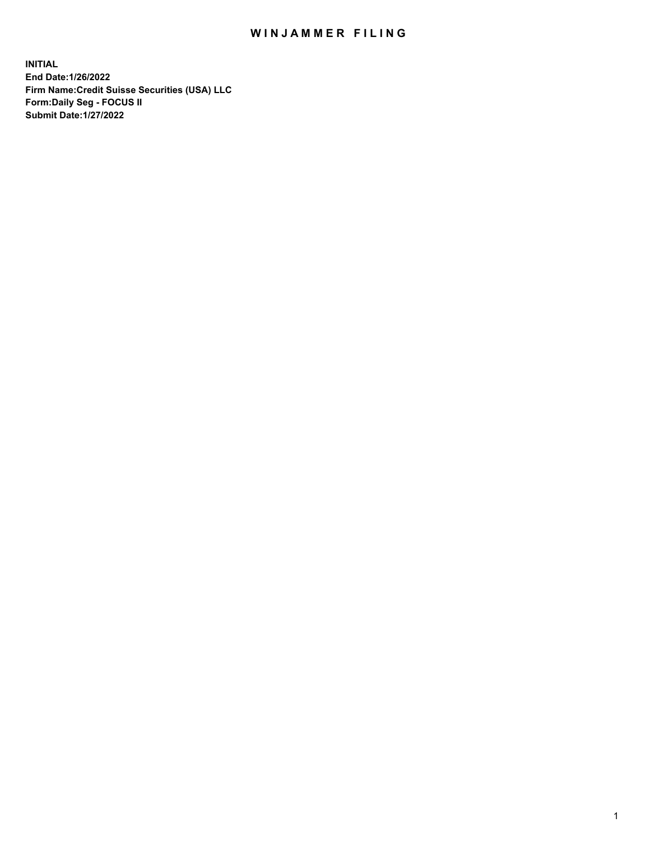## WIN JAMMER FILING

**INITIAL End Date:1/26/2022 Firm Name:Credit Suisse Securities (USA) LLC Form:Daily Seg - FOCUS II Submit Date:1/27/2022**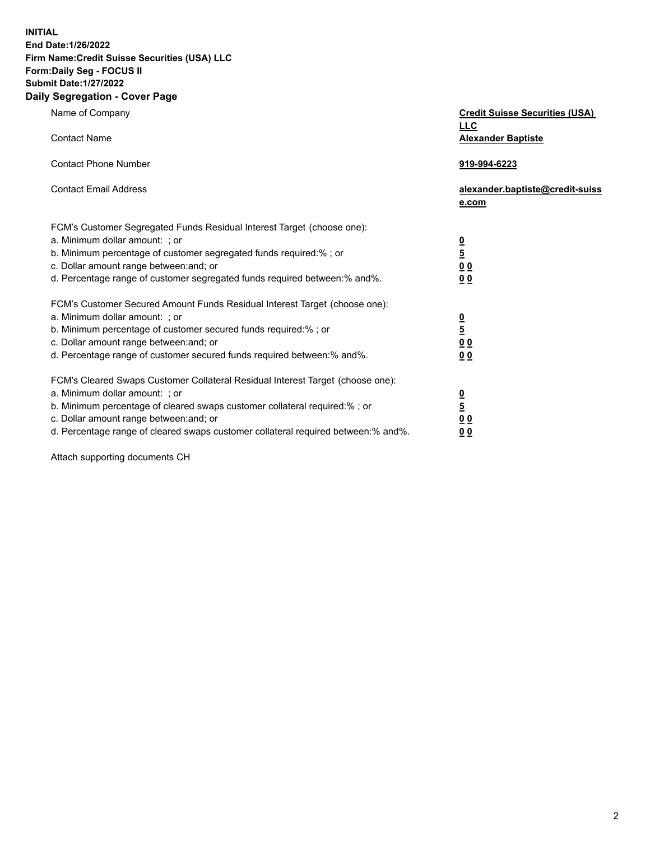**INITIAL** 

## **End Date:1/26/2022 Firm Name:Credit Suisse Securities (USA) LLC Form:Daily Seg - FOCUS II Submit Date:1/27/2022**

## **Daily Segregation - Cover Page**

| Name of Company                                                                                                                                                                                                                                                                                                                | <b>Credit Suisse Securities (USA)</b><br><b>LLC</b>                |
|--------------------------------------------------------------------------------------------------------------------------------------------------------------------------------------------------------------------------------------------------------------------------------------------------------------------------------|--------------------------------------------------------------------|
| <b>Contact Name</b>                                                                                                                                                                                                                                                                                                            | <b>Alexander Baptiste</b>                                          |
| <b>Contact Phone Number</b>                                                                                                                                                                                                                                                                                                    | 919-994-6223                                                       |
| <b>Contact Email Address</b>                                                                                                                                                                                                                                                                                                   | alexander.baptiste@credit-suiss<br>e.com                           |
| FCM's Customer Segregated Funds Residual Interest Target (choose one):<br>a. Minimum dollar amount: ; or<br>b. Minimum percentage of customer segregated funds required:%; or<br>c. Dollar amount range between: and; or<br>d. Percentage range of customer segregated funds required between: % and %.                        | $\frac{0}{5}$<br>$\underline{0} \underline{0}$<br>0 <sub>0</sub>   |
| FCM's Customer Secured Amount Funds Residual Interest Target (choose one):<br>a. Minimum dollar amount: ; or<br>b. Minimum percentage of customer secured funds required:%; or<br>c. Dollar amount range between: and; or<br>d. Percentage range of customer secured funds required between:% and%.                            | $\frac{0}{5}$<br>$\underline{0}$ $\underline{0}$<br>0 <sub>0</sub> |
| FCM's Cleared Swaps Customer Collateral Residual Interest Target (choose one):<br>a. Minimum dollar amount: ; or<br>b. Minimum percentage of cleared swaps customer collateral required:% ; or<br>c. Dollar amount range between: and; or<br>d. Percentage range of cleared swaps customer collateral required between:% and%. | $\frac{0}{5}$<br>0 <sub>0</sub><br>0 <sub>0</sub>                  |

Attach supporting documents CH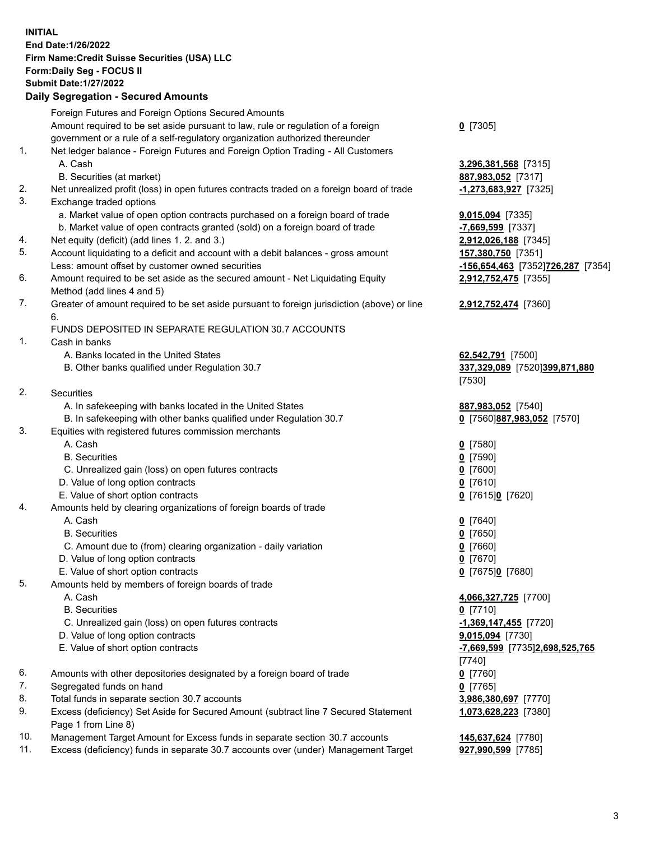**INITIAL End Date:1/26/2022 Firm Name:Credit Suisse Securities (USA) LLC Form:Daily Seg - FOCUS II Submit Date:1/27/2022** 

## **Daily Segregation - Secured Amounts**

|     | Foreign Futures and Foreign Options Secured Amounts                                                       |                                       |
|-----|-----------------------------------------------------------------------------------------------------------|---------------------------------------|
|     | Amount required to be set aside pursuant to law, rule or regulation of a foreign                          | $Q$ [7305]                            |
|     | government or a rule of a self-regulatory organization authorized thereunder                              |                                       |
| 1.  | Net ledger balance - Foreign Futures and Foreign Option Trading - All Customers                           |                                       |
|     | A. Cash                                                                                                   | 3,296,381,568 [7315]                  |
| 2.  | B. Securities (at market)                                                                                 | 887,983,052 [7317]                    |
| 3.  | Net unrealized profit (loss) in open futures contracts traded on a foreign board of trade                 | $-1,273,683,927$ [7325]               |
|     | Exchange traded options<br>a. Market value of open option contracts purchased on a foreign board of trade |                                       |
|     | b. Market value of open contracts granted (sold) on a foreign board of trade                              | 9,015,094 [7335]<br>-7,669,599 [7337] |
| 4.  | Net equity (deficit) (add lines 1. 2. and 3.)                                                             | 2,912,026,188 [7345]                  |
| 5.  | Account liquidating to a deficit and account with a debit balances - gross amount                         | 157,380,750 [7351]                    |
|     | Less: amount offset by customer owned securities                                                          | -156,654,463 [7352]726,287 [7354]     |
| 6.  | Amount required to be set aside as the secured amount - Net Liquidating Equity                            | 2,912,752,475 [7355]                  |
|     | Method (add lines 4 and 5)                                                                                |                                       |
| 7.  | Greater of amount required to be set aside pursuant to foreign jurisdiction (above) or line               | 2,912,752,474 [7360]                  |
|     | 6.                                                                                                        |                                       |
|     | FUNDS DEPOSITED IN SEPARATE REGULATION 30.7 ACCOUNTS                                                      |                                       |
| 1.  | Cash in banks                                                                                             |                                       |
|     | A. Banks located in the United States                                                                     | 62,542,791 [7500]                     |
|     | B. Other banks qualified under Regulation 30.7                                                            | 337,329,089 [7520]399,871,880         |
|     |                                                                                                           | [7530]                                |
| 2.  | <b>Securities</b>                                                                                         |                                       |
|     | A. In safekeeping with banks located in the United States                                                 | 887,983,052 [7540]                    |
|     | B. In safekeeping with other banks qualified under Regulation 30.7                                        | 0 [7560]887,983,052 [7570]            |
| 3.  | Equities with registered futures commission merchants                                                     |                                       |
|     | A. Cash                                                                                                   | $0$ [7580]                            |
|     | <b>B.</b> Securities                                                                                      | $0$ [7590]                            |
|     | C. Unrealized gain (loss) on open futures contracts                                                       | $0$ [7600]                            |
|     | D. Value of long option contracts                                                                         | $0$ [7610]                            |
|     | E. Value of short option contracts                                                                        | 0 [7615]0 [7620]                      |
| 4.  | Amounts held by clearing organizations of foreign boards of trade                                         |                                       |
|     | A. Cash                                                                                                   | $0$ [7640]                            |
|     | <b>B.</b> Securities                                                                                      | $0$ [7650]                            |
|     | C. Amount due to (from) clearing organization - daily variation                                           | $0$ [7660]                            |
|     | D. Value of long option contracts                                                                         | $0$ [7670]                            |
| 5.  | E. Value of short option contracts                                                                        | 0 [7675]0 [7680]                      |
|     | Amounts held by members of foreign boards of trade<br>A. Cash                                             |                                       |
|     | <b>B.</b> Securities                                                                                      | 4,066,327,725 [7700]<br>$0$ [7710]    |
|     | C. Unrealized gain (loss) on open futures contracts                                                       | $-1,369,147,455$ [7720]               |
|     | D. Value of long option contracts                                                                         | 9,015,094 [7730]                      |
|     | E. Value of short option contracts                                                                        | -7,669,599 [7735]2,698,525,765        |
|     |                                                                                                           | [7740]                                |
| 6.  | Amounts with other depositories designated by a foreign board of trade                                    | $0$ [7760]                            |
| 7.  | Segregated funds on hand                                                                                  | $0$ [7765]                            |
| 8.  | Total funds in separate section 30.7 accounts                                                             | 3,986,380,697 [7770]                  |
| 9.  | Excess (deficiency) Set Aside for Secured Amount (subtract line 7 Secured Statement                       | 1,073,628,223 [7380]                  |
|     | Page 1 from Line 8)                                                                                       |                                       |
| 10. | Management Target Amount for Excess funds in separate section 30.7 accounts                               | 145,637,624 [7780]                    |
| 11. | Excess (deficiency) funds in separate 30.7 accounts over (under) Management Target                        | 927,990,599 [7785]                    |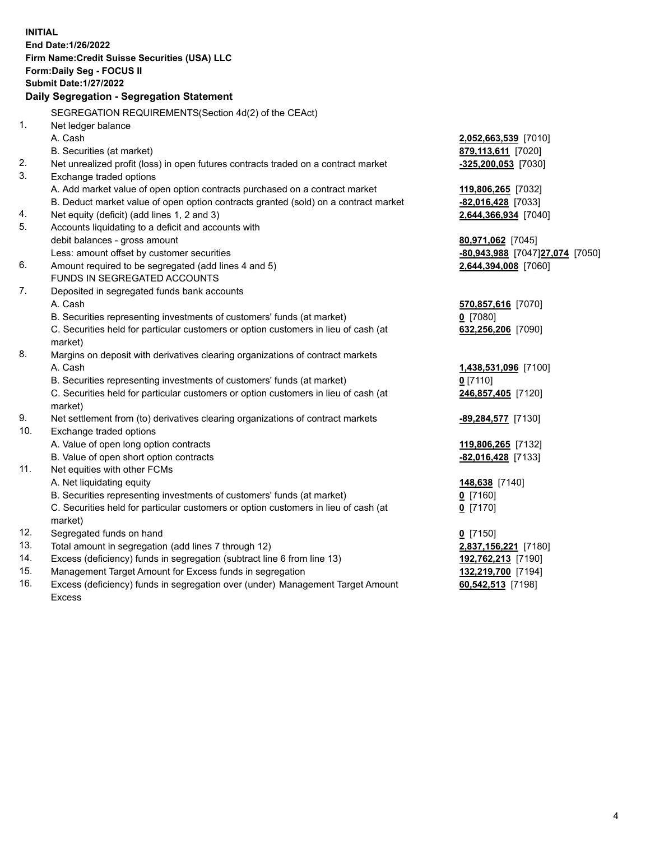15. Management Target Amount for Excess funds in segregation **132,219,700** [7194] 16. Excess (deficiency) funds in segregation over (under) Management Target Amount **60,542,513** [7198] **INITIAL End Date:1/26/2022 Firm Name:Credit Suisse Securities (USA) LLC Form:Daily Seg - FOCUS II Submit Date:1/27/2022 Daily Segregation - Segregation Statement**  SEGREGATION REQUIREMENTS(Section 4d(2) of the CEAct) 1. Net ledger balance A. Cash **2,052,663,539** [7010] B. Securities (at market) **879,113,611** [7020] 2. Net unrealized profit (loss) in open futures contracts traded on a contract market **-325,200,053** [7030] 3. Exchange traded options A. Add market value of open option contracts purchased on a contract market **119,806,265** [7032] B. Deduct market value of open option contracts granted (sold) on a contract market **-82,016,428** [7033] 4. Net equity (deficit) (add lines 1, 2 and 3) **2,644,366,934** [7040] 5. Accounts liquidating to a deficit and accounts with debit balances - gross amount **80,971,062** [7045] Less: amount offset by customer securities **-80,943,988** [7047] **27,074** [7050] 6. Amount required to be segregated (add lines 4 and 5) **2,644,394,008** [7060] FUNDS IN SEGREGATED ACCOUNTS 7. Deposited in segregated funds bank accounts A. Cash **570,857,616** [7070] B. Securities representing investments of customers' funds (at market) **0** [7080] C. Securities held for particular customers or option customers in lieu of cash (at **632,256,206** [7090] market) 8. Margins on deposit with derivatives clearing organizations of contract markets A. Cash **1,438,531,096** [7100] B. Securities representing investments of customers' funds (at market) **0** [7110] C. Securities held for particular customers or option customers in lieu of cash (at **246,857,405** [7120] market) 9. Net settlement from (to) derivatives clearing organizations of contract markets **-89,284,577** [7130] 10. Exchange traded options A. Value of open long option contracts **119,806,265** [7132] B. Value of open short option contracts **-82,016,428** [7133] 11. Net equities with other FCMs A. Net liquidating equity **148,638** [7140] B. Securities representing investments of customers' funds (at market) **0** [7160] C. Securities held for particular customers or option customers in lieu of cash (at **0** [7170] market) 12. Segregated funds on hand **0** [7150] 13. Total amount in segregation (add lines 7 through 12) **2,837,156,221** [7180] 14. Excess (deficiency) funds in segregation (subtract line 6 from line 13) **192,762,213** [7190] Excess